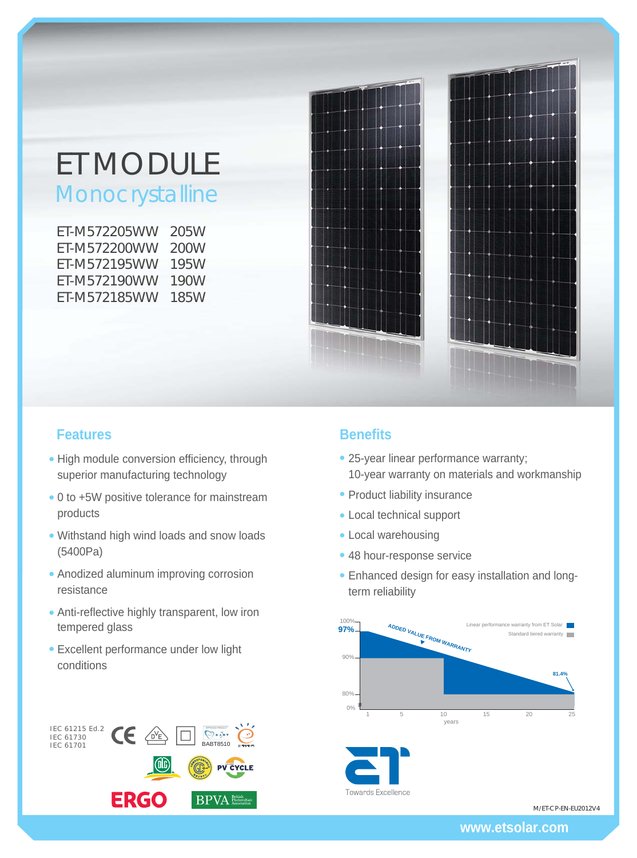# ET MODULE

**Monocrystalline** 

| ET-M572205WW | 205W |
|--------------|------|
| FT-M572200WW | 200W |
| FT-M572195WW | 195W |
| FT-M572190WW | 190W |
| ET-M572185WW | 185W |



## **Features Benefits**

- High module conversion efficiency, through superior manufacturing technology
- 0 to +5W positive tolerance for mainstream products
- Withstand high wind loads and snow loads (5400Pa)
- Anodized aluminum improving corrosion resistance
- Anti-reflective highly transparent, low iron tempered glass
- Excellent performance under low light conditions

# IEC 61215 Ed.2<br>IEC 61730<br>IEC 61701  $\bigcirc$  =  $\bigcirc$  =  $\tau$ **PV CYCLE ERGO BPVA Photovoltaic**

- 25-year linear performance warranty; 10-year warranty on materials and workmanship
- Product liability insurance
- Local technical support
- Local warehousing
- 48 hour-response service
- Enhanced design for easy installation and longterm reliability



**Towards Excellence** 

M/ET-CP-EN-EU2012V4